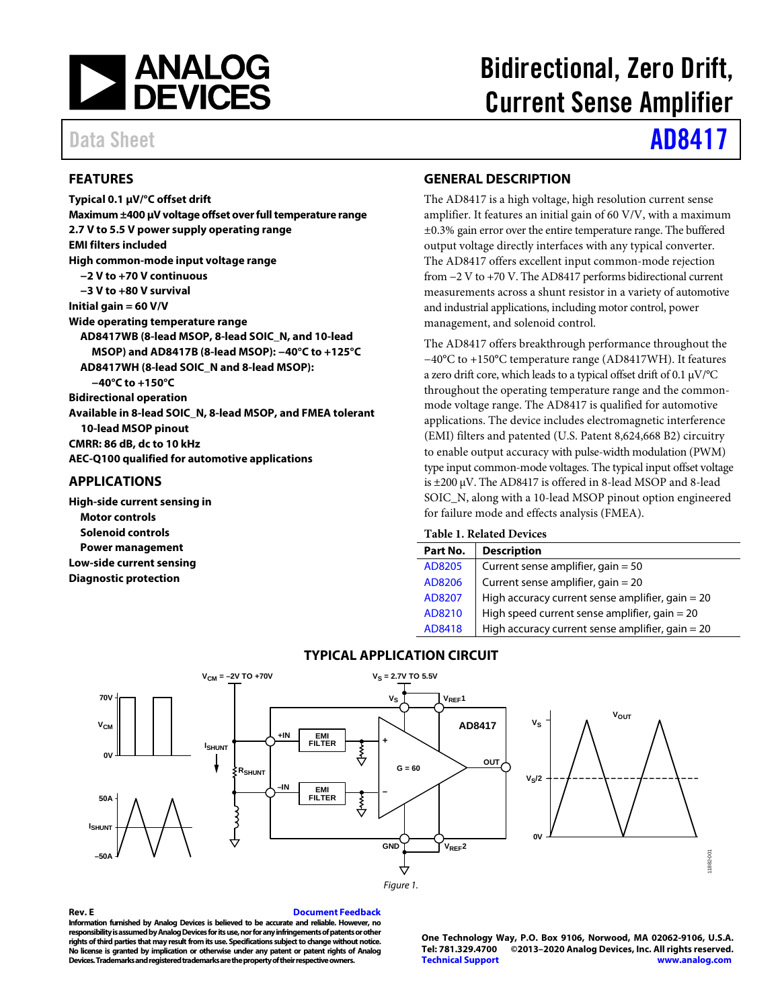

### <span id="page-0-0"></span>**FEATURES**

**Typical 0.1 µV/°C offset drift Maximum ±400 µV voltage offset over full temperature range 2.7 V to 5.5 V power supply operating range EMI filters included High common-mode input voltage range −2 V to +70 V continuous −3 V to +80 V survival Initial gain = 60 V/V Wide operating temperature range AD8417WB (8-lead MSOP, 8-lead SOIC\_N, and 10-lead MSOP) and AD8417B (8-lead MSOP): −40°C to +125°C AD8417WH (8-lead SOIC\_N and 8-lead MSOP): −40°C to +150°C Bidirectional operation Available in 8-lead SOIC\_N, 8-lead MSOP, and FMEA tolerant 10-lead MSOP pinout CMRR: 86 dB, dc to 10 kHz AEC-Q100 qualified for automotive applications**

### <span id="page-0-1"></span>**APPLICATIONS**

**High-side current sensing in Motor controls Solenoid controls Power management Low-side current sensing Diagnostic protection**

# Bidirectional, Zero Drift, Current Sense Amplifier

# Data Sheet **[AD8417](https://www.analog.com/AD8417?doc=AD8417.pdf)**

### <span id="page-0-2"></span>**GENERAL DESCRIPTION**

The AD8417 is a high voltage, high resolution current sense amplifier. It features an initial gain of 60 V/V, with a maximum ±0.3% gain error over the entire temperature range. The buffered output voltage directly interfaces with any typical converter. The AD8417 offers excellent input common-mode rejection from −2 V to +70 V. The AD8417 performs bidirectional current measurements across a shunt resistor in a variety of automotive and industrial applications, including motor control, power management, and solenoid control.

The AD8417 offers breakthrough performance throughout the −40°C to +150°C temperature range (AD8417WH). It features a zero drift core, which leads to a typical offset drift of 0.1 µV/°C throughout the operating temperature range and the commonmode voltage range. The AD8417 is qualified for automotive applications. The device includes electromagnetic interference (EMI) filters and patented (U.S. Patent 8,624,668 B2) circuitry to enable output accuracy with pulse-width modulation (PWM) type input common-mode voltages. The typical input offset voltage is ±200 µV. The AD8417 is offered in 8-lead MSOP and 8-lead SOIC\_N, along with a 10-lead MSOP pinout option engineered for failure mode and effects analysis (FMEA).

### **Table 1. Related Devices**

| Part No. | <b>Description</b>                                 |
|----------|----------------------------------------------------|
| AD8205   | Current sense amplifier, gain $=$ 50               |
| AD8206   | Current sense amplifier, gain $= 20$               |
| AD8207   | High accuracy current sense amplifier, gain $= 20$ |
| AD8210   | High speed current sense amplifier, gain $= 20$    |
| AD8418   | High accuracy current sense amplifier, gain $= 20$ |

### **TYPICAL APPLICATION CIRCUIT**

<span id="page-0-3"></span>

### <span id="page-0-4"></span>**Rev. E [Document Feedback](https://form.analog.com/Form_Pages/feedback/documentfeedback.aspx?doc=AD8417.pdf&product=AD8417&rev=E)**

**Information furnished by Analog Devices is believed to be accurate and reliable. However, no responsibility is assumed by Analog Devices for its use, nor for any infringements of patents or other**  rights of third parties that may result from its use. Specifications subject to change without notice. **No license is granted by implication or otherwise under any patent or patent rights of Analog Depity**<br>Beviloperty and registered trademarks are the property of their respective over

**One Technology Way, P.O. Box 9106, Norwood, MA 02062-9106, U.S.A. Tel: 781.329.4700 ©2013–2020 Analog Devices, Inc. All rights reserved. [Technical Support](http://www.analog.com/en/content/technical_support_page/fca.html) [www.analog.com](http://www.analog.com/)**

11882-001

882-001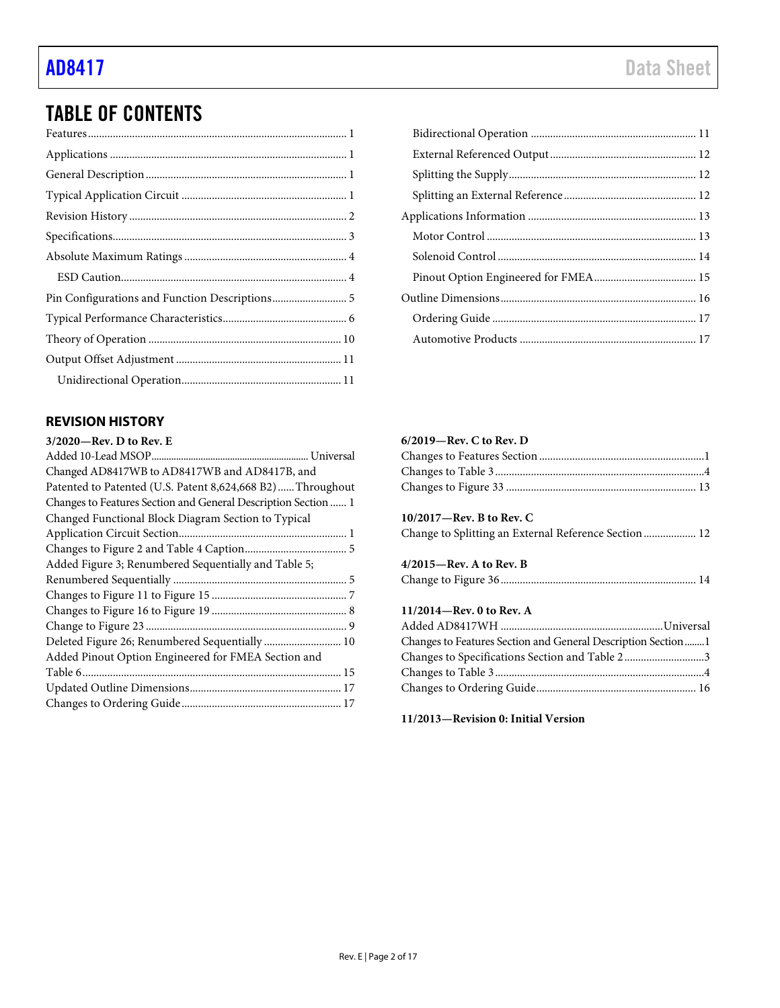## TABLE OF CONTENTS

### <span id="page-1-0"></span>**REVISION HISTORY**

| $3/2020$ —Rev. D to Rev. E                                     |
|----------------------------------------------------------------|
|                                                                |
| Changed AD8417WB to AD8417WB and AD8417B, and                  |
| Patented to Patented (U.S. Patent 8,624,668 B2)Throughout      |
| Changes to Features Section and General Description Section  1 |
| Changed Functional Block Diagram Section to Typical            |
|                                                                |
|                                                                |
| Added Figure 3; Renumbered Sequentially and Table 5;           |
|                                                                |
|                                                                |
|                                                                |
|                                                                |
| Deleted Figure 26; Renumbered Sequentially  10                 |
| Added Pinout Option Engineered for FMEA Section and            |
|                                                                |
|                                                                |
|                                                                |
|                                                                |

### **6/2019—Rev. C to Rev. D**

### **10/2017—Rev. B to Rev. C**

Change to Splitting an External Reference Section................... 12

### **4/2015—Rev. A to Rev. B**

|--|--|--|--|

### **11/2014—Rev. 0 to Rev. A**

| Changes to Features Section and General Description Section1 |  |
|--------------------------------------------------------------|--|
| Changes to Specifications Section and Table 23               |  |
|                                                              |  |
|                                                              |  |

**11/2013—Revision 0: Initial Version**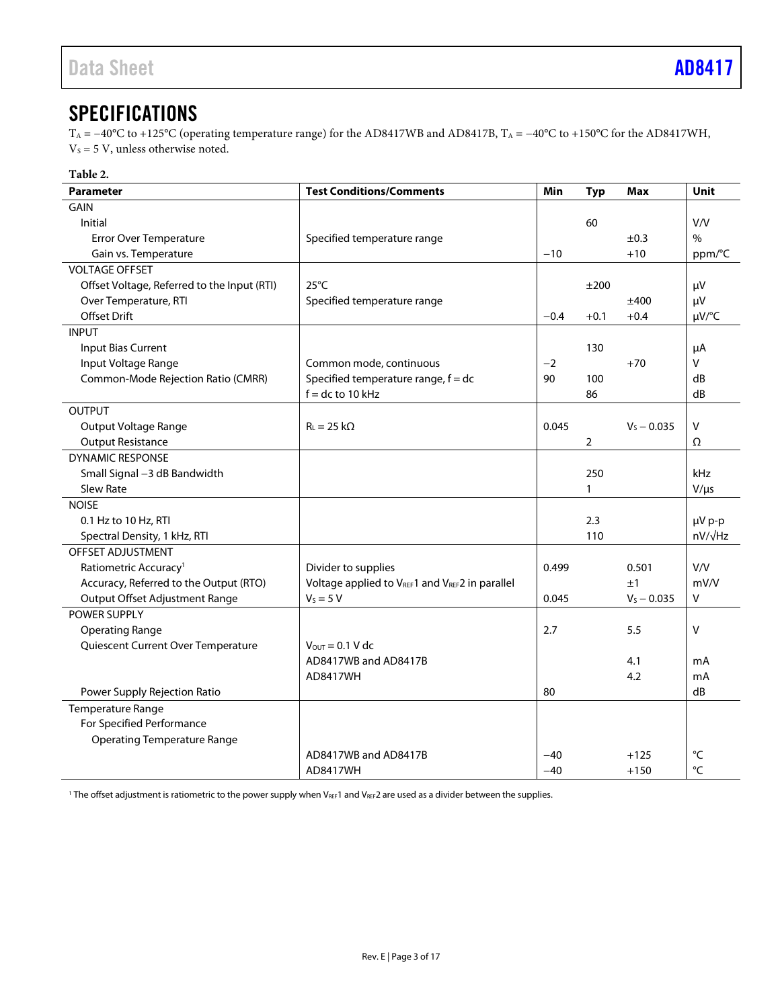## <span id="page-2-0"></span>**SPECIFICATIONS**

T<sub>A</sub> = −40°C to +125°C (operating temperature range) for the AD8417WB and AD8417B, T<sub>A</sub> = −40°C to +150°C for the AD8417WH,  $V_s = 5 V$ , unless otherwise noted.

| <b>Parameter</b>                                                         | <b>Test Conditions/Comments</b>                               | Min    | <b>Typ</b>     | <b>Max</b>    | Unit            |
|--------------------------------------------------------------------------|---------------------------------------------------------------|--------|----------------|---------------|-----------------|
| <b>GAIN</b>                                                              |                                                               |        |                |               |                 |
| Initial                                                                  |                                                               |        | 60             |               | V/V             |
| Error Over Temperature                                                   | Specified temperature range                                   |        |                | ±0.3          | $\%$            |
| Gain vs. Temperature                                                     |                                                               | $-10$  |                | $+10$         | ppm/°C          |
| <b>VOLTAGE OFFSET</b>                                                    |                                                               |        |                |               |                 |
| Offset Voltage, Referred to the Input (RTI)                              | $25^{\circ}$ C                                                |        | ±200           |               | μV              |
| Over Temperature, RTI                                                    | Specified temperature range                                   |        |                | ±400          | μV              |
| <b>Offset Drift</b>                                                      |                                                               | $-0.4$ | $+0.1$         | $+0.4$        | $\mu V$ /°C     |
| <b>INPUT</b>                                                             |                                                               |        |                |               |                 |
| Input Bias Current                                                       |                                                               |        | 130            |               | μA              |
| Input Voltage Range                                                      | Common mode, continuous                                       | $-2$   |                | $+70$         | V               |
| Common-Mode Rejection Ratio (CMRR)                                       | Specified temperature range, $f = dc$                         | 90     | 100            |               | dB              |
|                                                                          | $f = dc$ to 10 kHz                                            |        | 86             |               | dB              |
| <b>OUTPUT</b>                                                            |                                                               |        |                |               |                 |
| Output Voltage Range                                                     | $R_L = 25 k\Omega$                                            | 0.045  |                | $V_S - 0.035$ | V               |
| <b>Output Resistance</b>                                                 |                                                               |        | $\overline{2}$ |               | Ω               |
| <b>DYNAMIC RESPONSE</b>                                                  |                                                               |        |                |               |                 |
| Small Signal -3 dB Bandwidth                                             |                                                               |        | 250            |               | kHz             |
| <b>Slew Rate</b>                                                         |                                                               |        | $\mathbf{1}$   |               | $V/\mu s$       |
| <b>NOISE</b>                                                             |                                                               |        |                |               |                 |
| 0.1 Hz to 10 Hz, RTI                                                     |                                                               |        | 2.3            |               | µV p-p          |
| Spectral Density, 1 kHz, RTI                                             |                                                               |        | 110            |               | $nV/\sqrt{Hz}$  |
| OFFSET ADJUSTMENT                                                        |                                                               |        |                |               | V/V             |
| Ratiometric Accuracy <sup>1</sup>                                        | Divider to supplies                                           | 0.499  |                | 0.501         |                 |
| Accuracy, Referred to the Output (RTO)<br>Output Offset Adjustment Range | Voltage applied to VREF1 and VREF2 in parallel<br>$V_S = 5 V$ | 0.045  |                | ±1            | mV/V<br>V       |
| POWER SUPPLY                                                             |                                                               |        |                | $V_S - 0.035$ |                 |
| <b>Operating Range</b>                                                   |                                                               | 2.7    |                | 5.5           | $\vee$          |
| Quiescent Current Over Temperature                                       | $V_{\text{OUT}} = 0.1 V$ dc                                   |        |                |               |                 |
|                                                                          | AD8417WB and AD8417B                                          |        |                | 4.1           | mA              |
|                                                                          | AD8417WH                                                      |        |                | 4.2           | mA              |
| Power Supply Rejection Ratio                                             |                                                               | 80     |                |               | dB              |
| Temperature Range                                                        |                                                               |        |                |               |                 |
| For Specified Performance                                                |                                                               |        |                |               |                 |
| <b>Operating Temperature Range</b>                                       |                                                               |        |                |               |                 |
|                                                                          | AD8417WB and AD8417B                                          | $-40$  |                | $+125$        | $^{\circ}$ C    |
|                                                                          | AD8417WH                                                      | $-40$  |                | $+150$        | $\rm ^{\circ}C$ |

<sup>1</sup> The offset adjustment is ratiometric to the power supply when V<sub>REF</sub>1 and V<sub>REF</sub>2 are used as a divider between the supplies.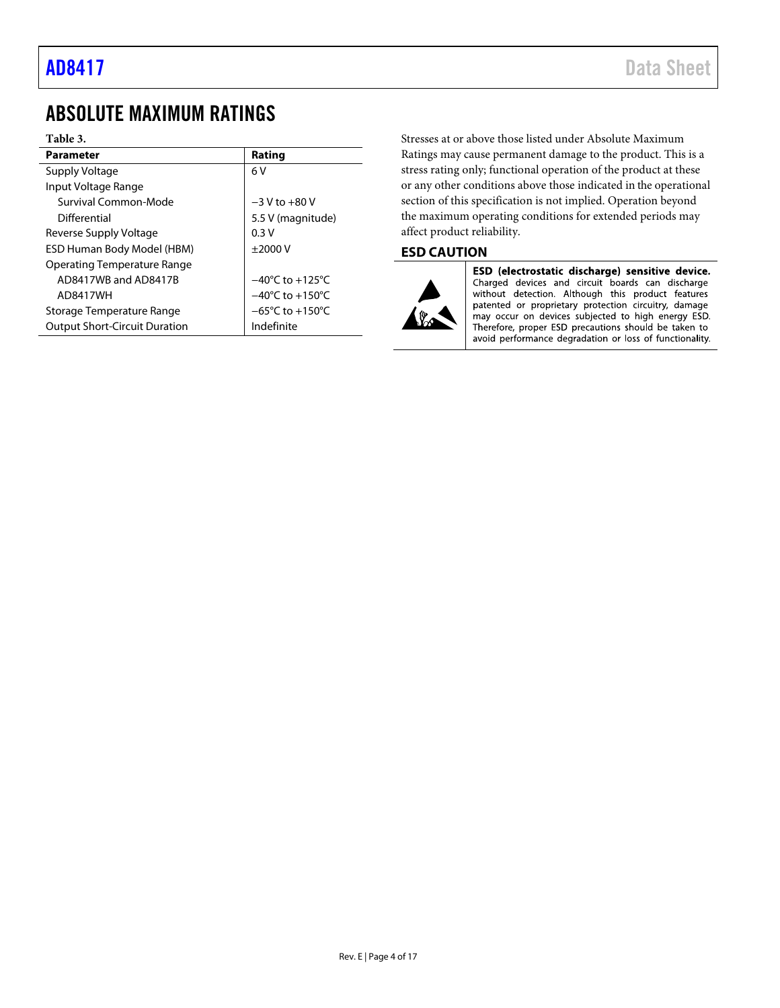## <span id="page-3-0"></span>ABSOLUTE MAXIMUM RATINGS

### **Table 3.**

| <b>Parameter</b>                     | Rating                              |
|--------------------------------------|-------------------------------------|
| Supply Voltage                       | 6V                                  |
| Input Voltage Range                  |                                     |
| Survival Common-Mode                 | $-3$ V to $+80$ V                   |
| Differential                         | 5.5 V (magnitude)                   |
| Reverse Supply Voltage               | 0.3V                                |
| ESD Human Body Model (HBM)           | $\pm$ 2000 V                        |
| <b>Operating Temperature Range</b>   |                                     |
| AD8417WB and AD8417B                 | $-40^{\circ}$ C to $+125^{\circ}$ C |
| AD8417WH                             | $-40^{\circ}$ C to $+150^{\circ}$ C |
| Storage Temperature Range            | $-65^{\circ}$ C to $+150^{\circ}$ C |
| <b>Output Short-Circuit Duration</b> | Indefinite                          |

Stresses at or above those listed under Absolute Maximum Ratings may cause permanent damage to the product. This is a stress rating only; functional operation of the product at these or any other conditions above those indicated in the operational section of this specification is not implied. Operation beyond the maximum operating conditions for extended periods may affect product reliability.

### <span id="page-3-1"></span>**ESD CAUTION**



ESD (electrostatic discharge) sensitive device. Charged devices and circuit boards can discharge<br>without detection. Although this product features patented or proprietary protection circuitry, damage may occur on devices subjected to high energy ESD. Therefore, proper ESD precautions should be taken to avoid performance degradation or loss of functionality.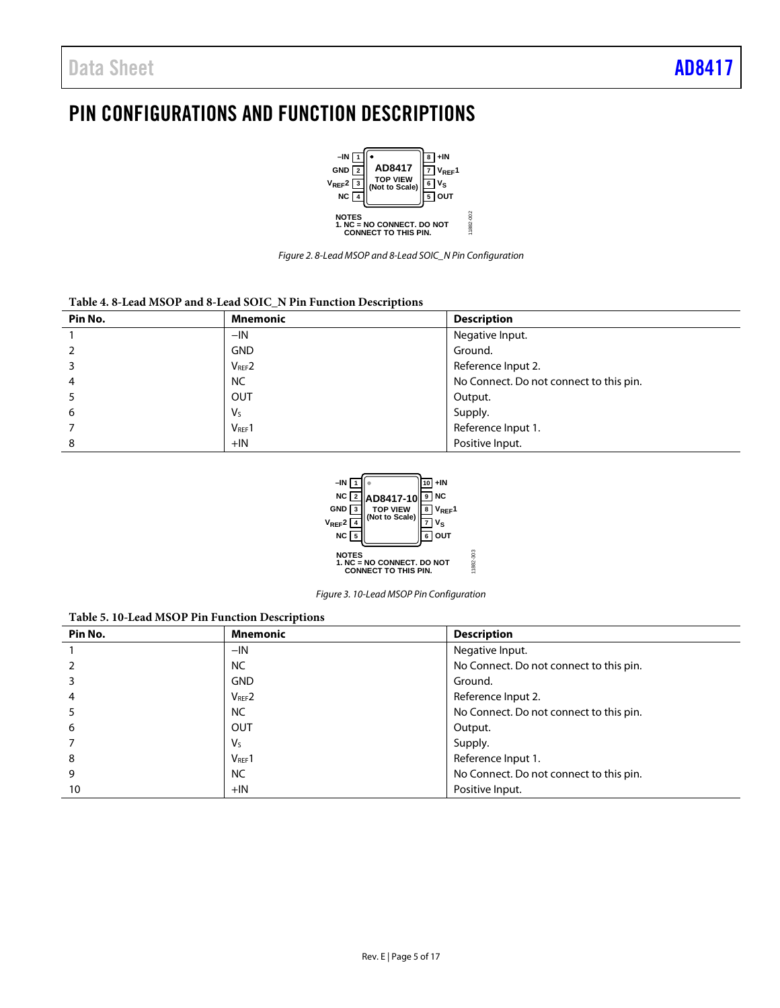## <span id="page-4-0"></span>PIN CONFIGURATIONS AND FUNCTION DESCRIPTIONS



*Figure 2. 8-Lead MSOP and 8-Lead SOIC\_N Pin Configuration*

### **Table 4. 8-Lead MSOP and 8-Lead SOIC\_N Pin Function Descriptions**

| Pin No. | <b>Mnemonic</b>        | <b>Description</b>                      |
|---------|------------------------|-----------------------------------------|
|         | $-IN$                  | Negative Input.                         |
|         | <b>GND</b>             | Ground.                                 |
|         | $V_{REF}$ <sub>2</sub> | Reference Input 2.                      |
| 4       | <b>NC</b>              | No Connect. Do not connect to this pin. |
|         | <b>OUT</b>             | Output.                                 |
| 6       | $V_{S}$                | Supply.                                 |
|         | $V_{REF}1$             | Reference Input 1.                      |
| 8       | $+IN$                  | Positive Input.                         |



*Figure 3. 10-Lead MSOP Pin Configuration*

11882-303

### **Table 5. 10-Lead MSOP Pin Function Descriptions**

| Pin No. | <b>Mnemonic</b> | <b>Description</b>                      |
|---------|-----------------|-----------------------------------------|
|         | $-IN$           | Negative Input.                         |
|         | <b>NC</b>       | No Connect. Do not connect to this pin. |
|         | <b>GND</b>      | Ground.                                 |
| 4       | $V_{REF}$ 2     | Reference Input 2.                      |
|         | <b>NC</b>       | No Connect. Do not connect to this pin. |
| 6       | OUT             | Output.                                 |
|         | V <sub>s</sub>  | Supply.                                 |
| 8       | $V_{REF}1$      | Reference Input 1.                      |
| 9       | <b>NC</b>       | No Connect. Do not connect to this pin. |
| 10      | $+IN$           | Positive Input.                         |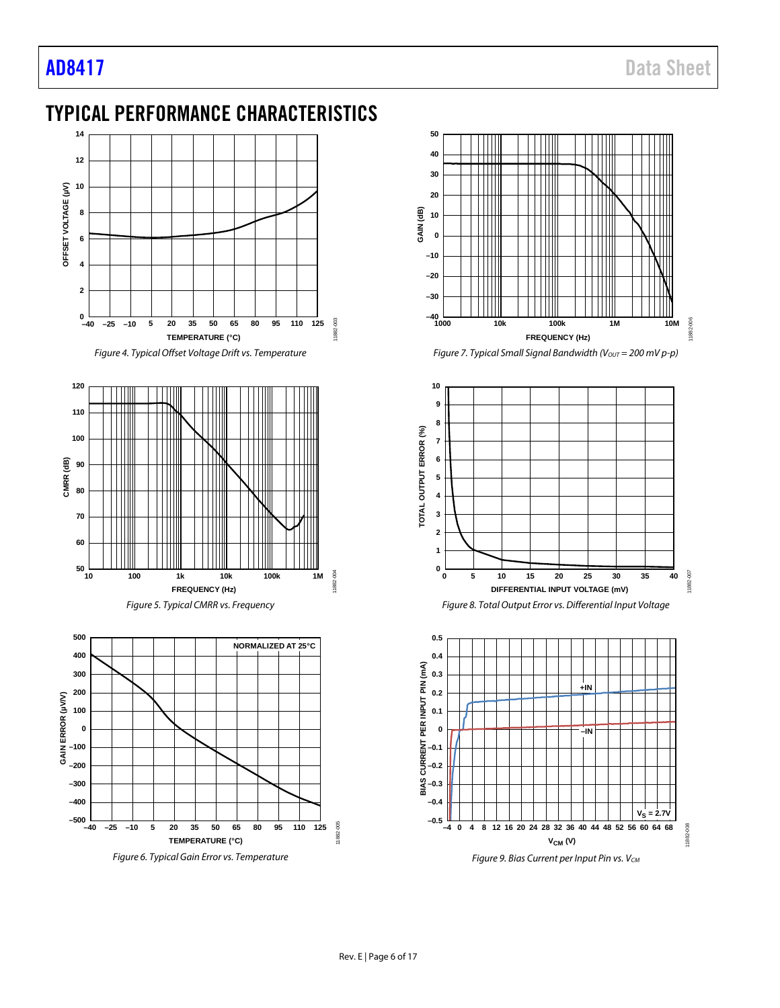## <span id="page-5-0"></span>TYPICAL PERFORMANCE CHARACTERISTICS











*Figure 7. Typical Small Signal Bandwidth (Vout = 200 mV p-p)* 







*Figure 9. Bias Current per Input Pin vs.*  $V_{CM}$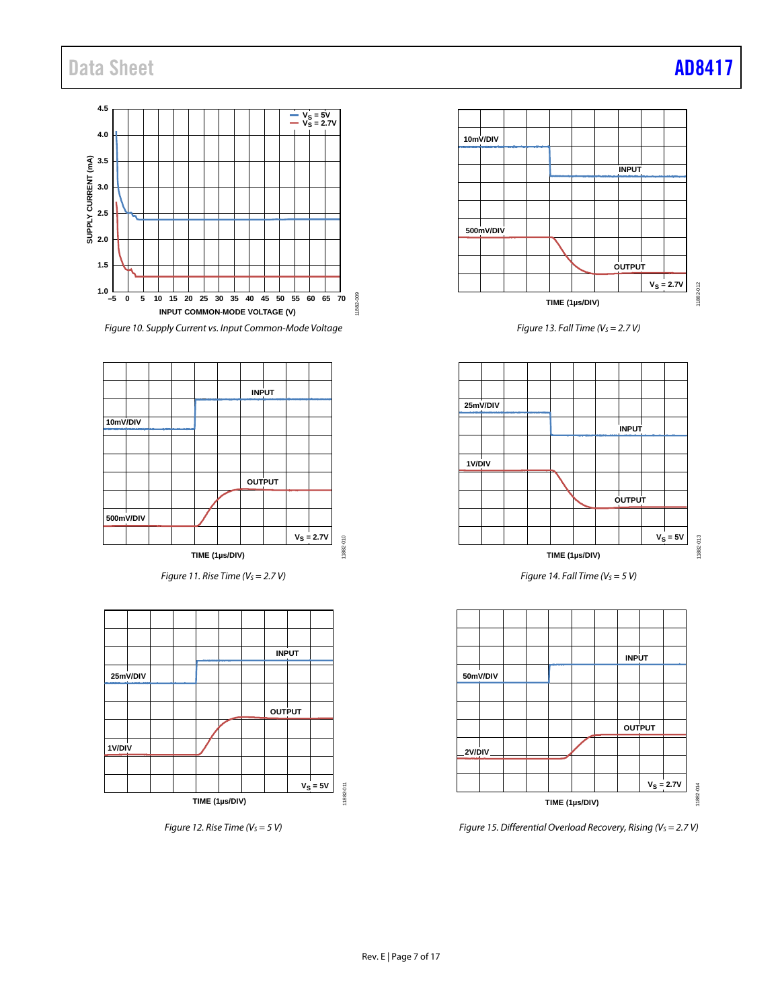## Data Sheet **[AD8417](https://www.analog.com/AD8417?doc=AD8417.pdf)**



*Figure 10. Supply Current vs. Input Common-Mode Voltage*



*Figure 11. Rise Time (V<sub>S</sub> = 2.7 V)* 







*Figure* 13. *Fall Time* ( $V_s$  = 2.7 *V*)



*Figure 14. Fall Time (V<sub>S</sub> = 5 V)* 



*Figure 15. Differential Overload Recovery, Rising (V<sub>S</sub> = 2.7 V)*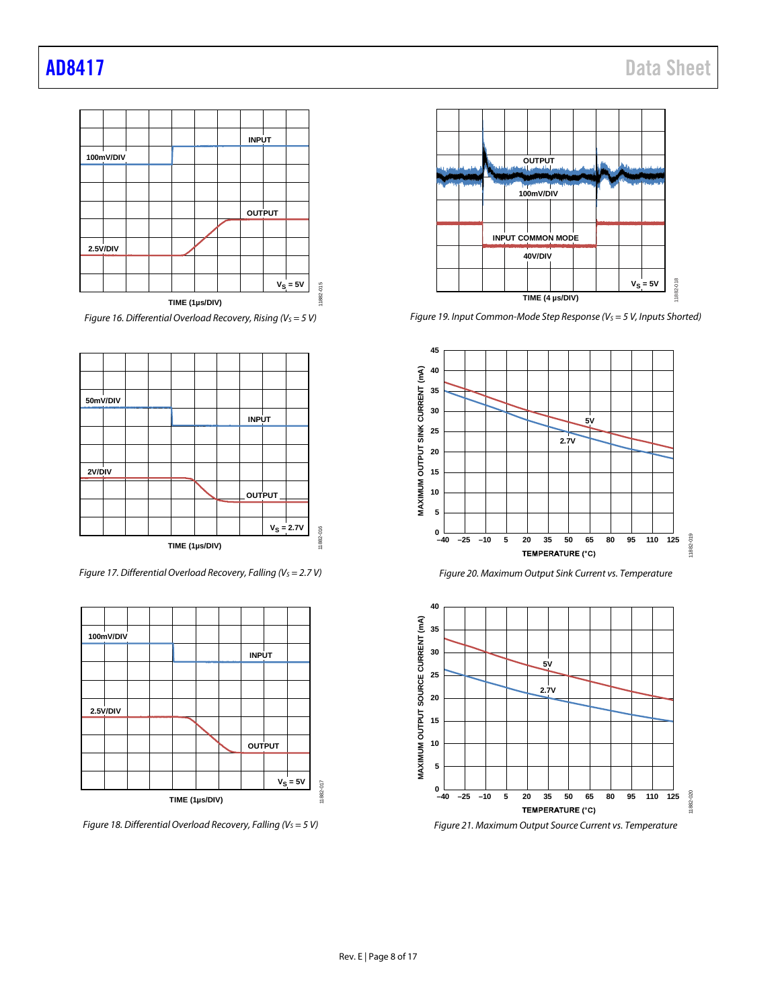

*Figure 16. Differential Overload Recovery, Rising (V<sub>S</sub> = 5 V)* 



*Figure 17. Differential Overload Recovery, Falling (Vs = 2.7 V)* 



*Figure 18. Differential Overload Recovery, Falling (V<sub>S</sub> = 5 V)* 



*Figure 19. Input Common-Mode Step Response (V<sub>S</sub> = 5 V, Inputs Shorted)* 







*Figure 21. Maximum Output Source Current vs. Temperature*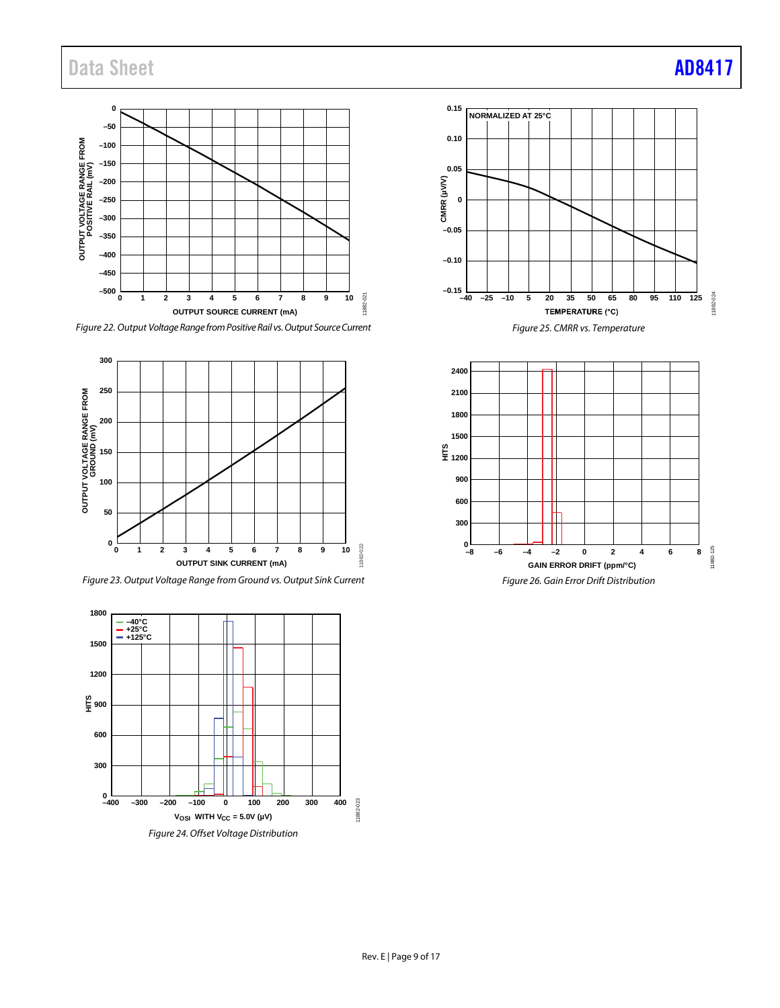## Data Sheet **[AD8417](https://www.analog.com/AD8417?doc=AD8417.pdf)**



*Figure 22. Output Voltage Range from Positive Rail vs. Output Source Current*









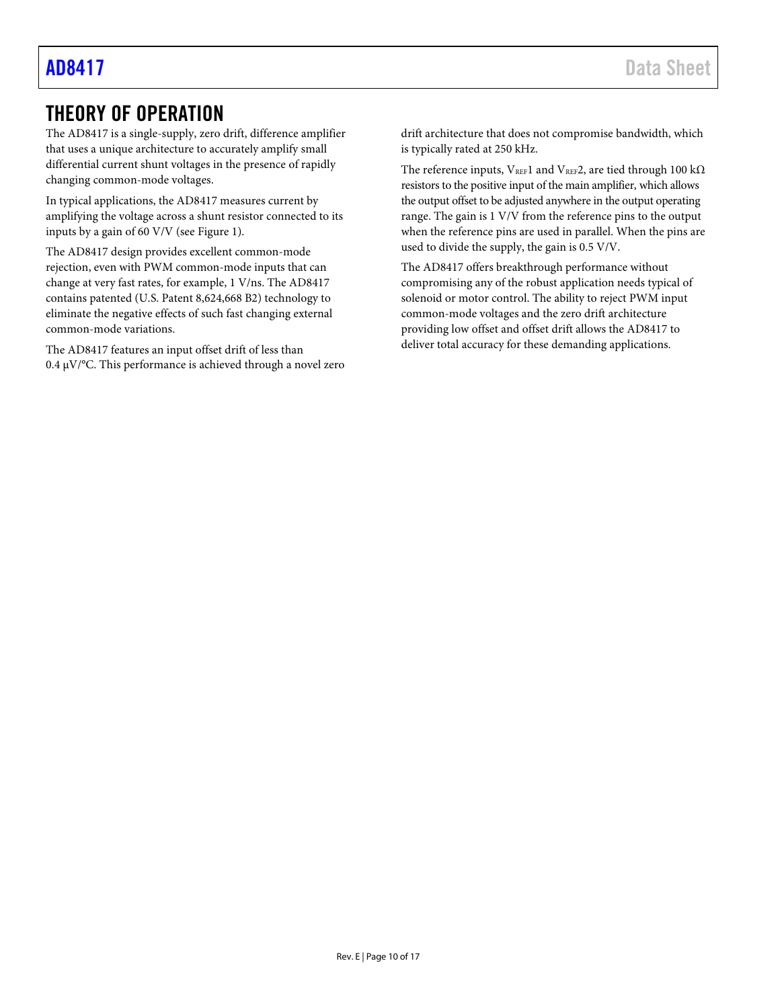## <span id="page-9-0"></span>THEORY OF OPERATION

The AD8417 is a single-supply, zero drift, difference amplifier that uses a unique architecture to accurately amplify small differential current shunt voltages in the presence of rapidly changing common-mode voltages.

In typical applications, the AD8417 measures current by amplifying the voltage across a shunt resistor connected to its inputs by a gain of 60 V/V (se[e Figure 1\)](#page-0-4).

The AD8417 design provides excellent common-mode rejection, even with PWM common-mode inputs that can change at very fast rates, for example, 1 V/ns. The AD8417 contains patented (U.S. Patent 8,624,668 B2) technology to eliminate the negative effects of such fast changing external common-mode variations.

The AD8417 features an input offset drift of less than 0.4  $\mu$ V/°C. This performance is achieved through a novel zero drift architecture that does not compromise bandwidth, which is typically rated at 250 kHz.

The reference inputs,  $V_{REF}1$  and  $V_{REF}2$ , are tied through 100 k $\Omega$ resistors to the positive input of the main amplifier, which allows the output offset to be adjusted anywhere in the output operating range. The gain is 1 V/V from the reference pins to the output when the reference pins are used in parallel. When the pins are used to divide the supply, the gain is 0.5 V/V.

The AD8417 offers breakthrough performance without compromising any of the robust application needs typical of solenoid or motor control. The ability to reject PWM input common-mode voltages and the zero drift architecture providing low offset and offset drift allows the AD8417 to deliver total accuracy for these demanding applications.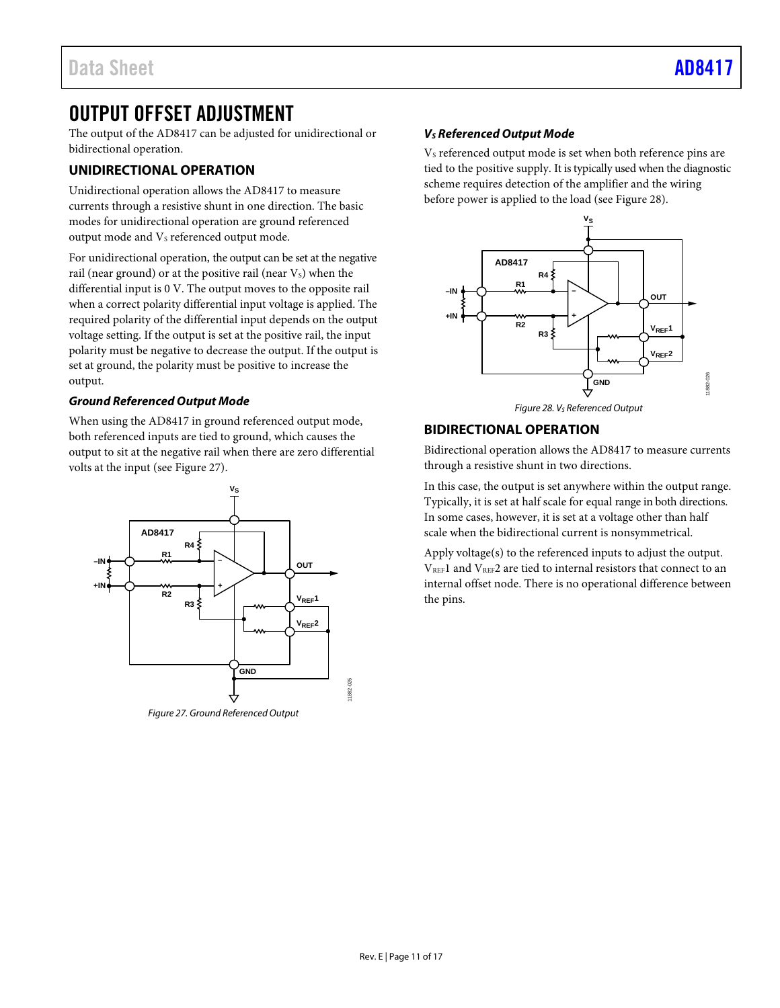## <span id="page-10-0"></span>OUTPUT OFFSET ADJUSTMENT

The output of the AD8417 can be adjusted for unidirectional or bidirectional operation.

### <span id="page-10-1"></span>**UNIDIRECTIONAL OPERATION**

Unidirectional operation allows the AD8417 to measure currents through a resistive shunt in one direction. The basic modes for unidirectional operation are ground referenced output mode and V<sub>s</sub> referenced output mode.

For unidirectional operation, the output can be set at the negative rail (near ground) or at the positive rail (near  $V_s$ ) when the differential input is 0 V. The output moves to the opposite rail when a correct polarity differential input voltage is applied. The required polarity of the differential input depends on the output voltage setting. If the output is set at the positive rail, the input polarity must be negative to decrease the output. If the output is set at ground, the polarity must be positive to increase the output.

### *Ground Referenced Output Mode*

When using the AD8417 in ground referenced output mode, both referenced inputs are tied to ground, which causes the output to sit at the negative rail when there are zero differential volts at the input (se[e Figure 27\)](#page-10-3).



<span id="page-10-3"></span>*Figure 27. Ground Referenced Output*

### *VS Referenced Output Mode*

V<sub>s</sub> referenced output mode is set when both reference pins are tied to the positive supply. It is typically used when the diagnostic scheme requires detection of the amplifier and the wiring before power is applied to the load (se[e Figure 28\)](#page-10-4).



*Figure 28. VS Referenced Output*

### <span id="page-10-4"></span><span id="page-10-2"></span>**BIDIRECTIONAL OPERATION**

Bidirectional operation allows the AD8417 to measure currents through a resistive shunt in two directions.

In this case, the output is set anywhere within the output range. Typically, it is set at half scale for equal range in both directions. In some cases, however, it is set at a voltage other than half scale when the bidirectional current is nonsymmetrical.

Apply voltage(s) to the referenced inputs to adjust the output. VREF1 and VREF2 are tied to internal resistors that connect to an internal offset node. There is no operational difference between the pins.

11882-025

882-025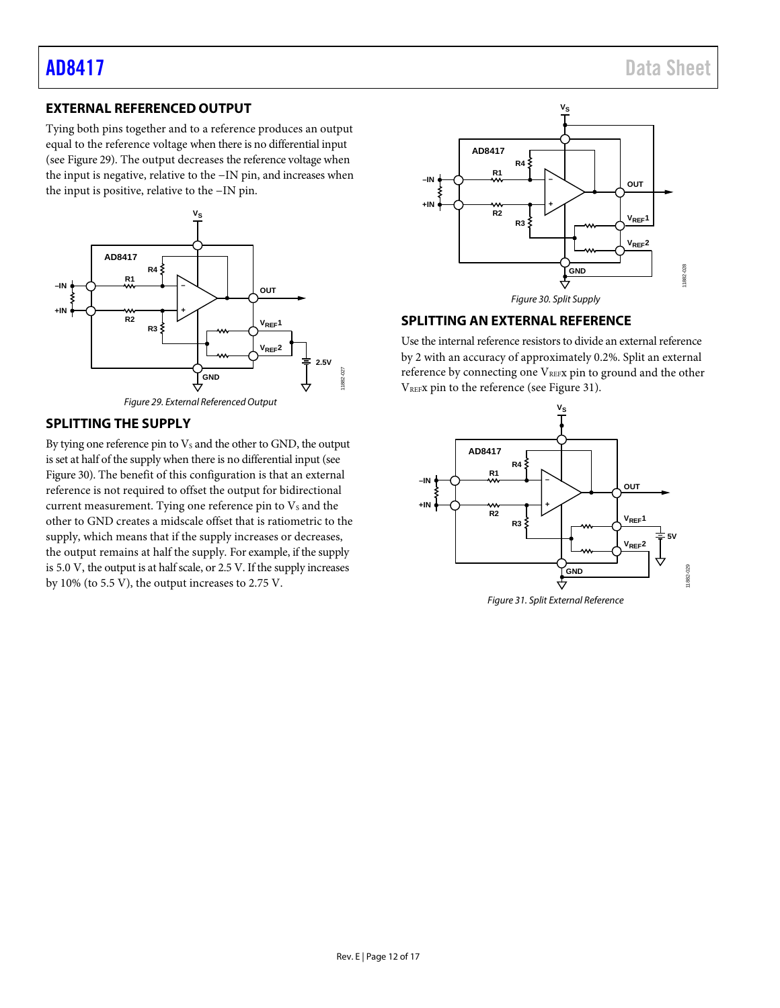### <span id="page-11-0"></span>**EXTERNAL REFERENCED OUTPUT**

Tying both pins together and to a reference produces an output equal to the reference voltage when there is no differential input (see [Figure 29\)](#page-11-3). The output decreases the reference voltage when the input is negative, relative to the −IN pin, and increases when the input is positive, relative to the −IN pin.



*Figure 29. External Referenced Output*

### <span id="page-11-3"></span><span id="page-11-1"></span>**SPLITTING THE SUPPLY**

By tying one reference pin to  $V_s$  and the other to GND, the output is set at half of the supply when there is no differential input (see [Figure 30\)](#page-11-4). The benefit of this configuration is that an external reference is not required to offset the output for bidirectional current measurement. Tying one reference pin to  $V_s$  and the other to GND creates a midscale offset that is ratiometric to the supply, which means that if the supply increases or decreases, the output remains at half the supply. For example, if the supply is 5.0 V, the output is at half scale, or 2.5 V. If the supply increases by 10% (to 5.5 V), the output increases to 2.75 V.



### <span id="page-11-4"></span><span id="page-11-2"></span>**SPLITTING AN EXTERNAL REFERENCE**

Use the internal reference resistors to divide an external reference by 2 with an accuracy of approximately 0.2%. Split an external reference by connecting one  $V_{REF}$ x pin to ground and the other VREFx pin to the reference (see [Figure 31\)](#page-11-5).



<span id="page-11-5"></span>*Figure 31. Split External Reference*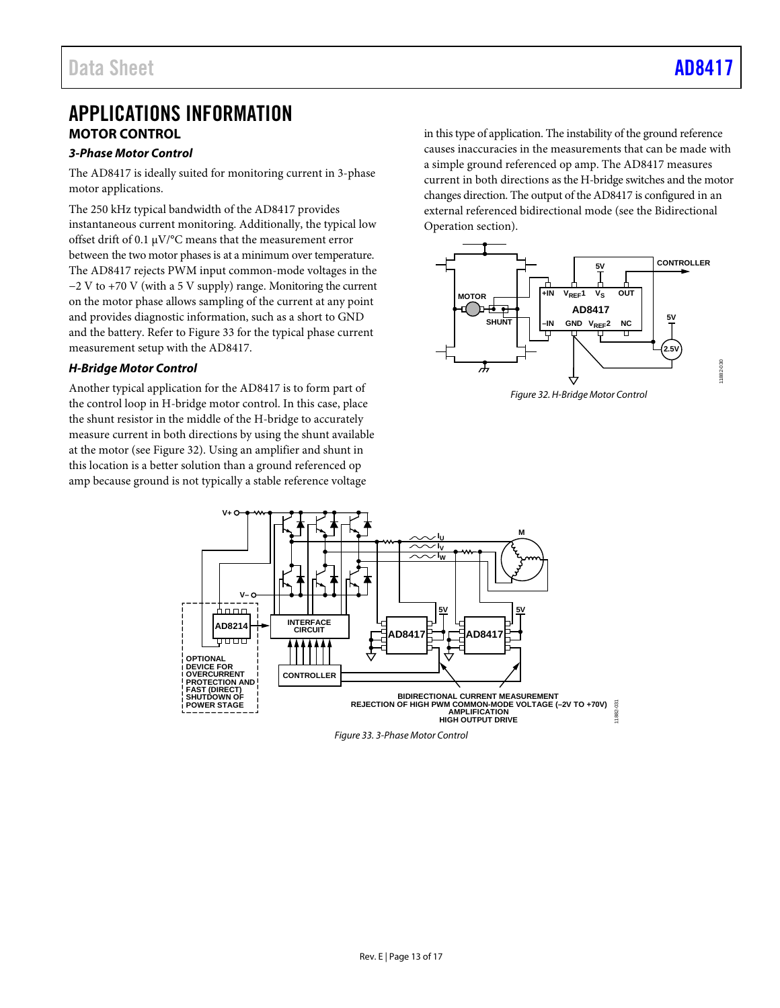## <span id="page-12-0"></span>APPLICATIONS INFORMATION **MOTOR CONTROL**

### <span id="page-12-1"></span>*3-Phase Motor Control*

The AD8417 is ideally suited for monitoring current in 3-phase motor applications.

The 250 kHz typical bandwidth of the AD8417 provides instantaneous current monitoring. Additionally, the typical low offset drift of 0.1 µV/°C means that the measurement error between the two motor phases is at a minimum over temperature. The AD8417 rejects PWM input common-mode voltages in the −2 V to +70 V (with a 5 V supply) range. Monitoring the current on the motor phase allows sampling of the current at any point and provides diagnostic information, such as a short to GND and the battery. Refer to [Figure](#page-12-2) 33 for the typical phase current measurement setup with the AD8417.

### *H-Bridge Motor Control*

Another typical application for the AD8417 is to form part of the control loop in H-bridge motor control. In this case, place the shunt resistor in the middle of the H-bridge to accurately measure current in both directions by using the shunt available at the motor (se[e Figure 32\)](#page-12-3). Using an amplifier and shunt in this location is a better solution than a ground referenced op amp because ground is not typically a stable reference voltage

in this type of application. The instability of the ground reference causes inaccuracies in the measurements that can be made with a simple ground referenced op amp. The AD8417 measures current in both directions as the H-bridge switches and the motor changes direction. The output of the AD8417 is configured in an external referenced bidirectional mode (see the [Bidirectional](#page-10-2)  [Operation](#page-10-2) section).



<span id="page-12-3"></span>

<span id="page-12-2"></span>

*Figure 33. 3-Phase Motor Control*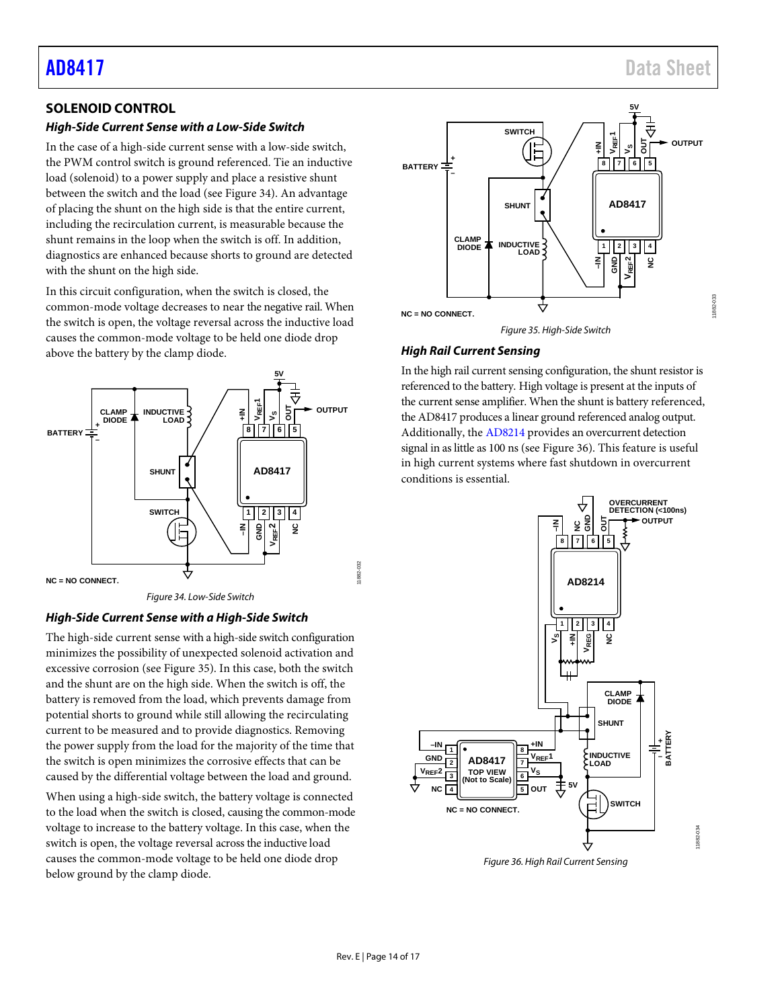11882-033

1882-033

### <span id="page-13-0"></span>**SOLENOID CONTROL**

### *High-Side Current Sense with a Low-Side Switch*

In the case of a high-side current sense with a low-side switch, the PWM control switch is ground referenced. Tie an inductive load (solenoid) to a power supply and place a resistive shunt between the switch and the load (see [Figure 34\)](#page-13-1). An advantage of placing the shunt on the high side is that the entire current, including the recirculation current, is measurable because the shunt remains in the loop when the switch is off. In addition, diagnostics are enhanced because shorts to ground are detected with the shunt on the high side.

In this circuit configuration, when the switch is closed, the common-mode voltage decreases to near the negative rail. When the switch is open, the voltage reversal across the inductive load causes the common-mode voltage to be held one diode drop above the battery by the clamp diode.



### *Figure 34. Low-Side Switch*

### <span id="page-13-1"></span>*High-Side Current Sense with a High-Side Switch*

The high-side current sense with a high-side switch configuration minimizes the possibility of unexpected solenoid activation and excessive corrosion (se[e Figure 35\)](#page-13-2). In this case, both the switch and the shunt are on the high side. When the switch is off, the battery is removed from the load, which prevents damage from potential shorts to ground while still allowing the recirculating current to be measured and to provide diagnostics. Removing the power supply from the load for the majority of the time that the switch is open minimizes the corrosive effects that can be caused by the differential voltage between the load and ground.

When using a high-side switch, the battery voltage is connected to the load when the switch is closed, causing the common-mode voltage to increase to the battery voltage. In this case, when the switch is open, the voltage reversal across the inductive load causes the common-mode voltage to be held one diode drop below ground by the clamp diode.



*Figure 35. High-Side Switch*

### <span id="page-13-2"></span>*High Rail Current Sensing*

In the high rail current sensing configuration, the shunt resistor is referenced to the battery. High voltage is present at the inputs of the current sense amplifier. When the shunt is battery referenced, the AD8417 produces a linear ground referenced analog output. Additionally, th[e AD8214](https://www.analog.com/AD8214?doc=AD8417.pdf) provides an overcurrent detection signal in as little as 100 ns (see [Figure 36\)](#page-13-3). This feature is useful in high current systems where fast shutdown in overcurrent conditions is essential.



<span id="page-13-3"></span>*Figure 36. High Rail Current Sensing*

11882-032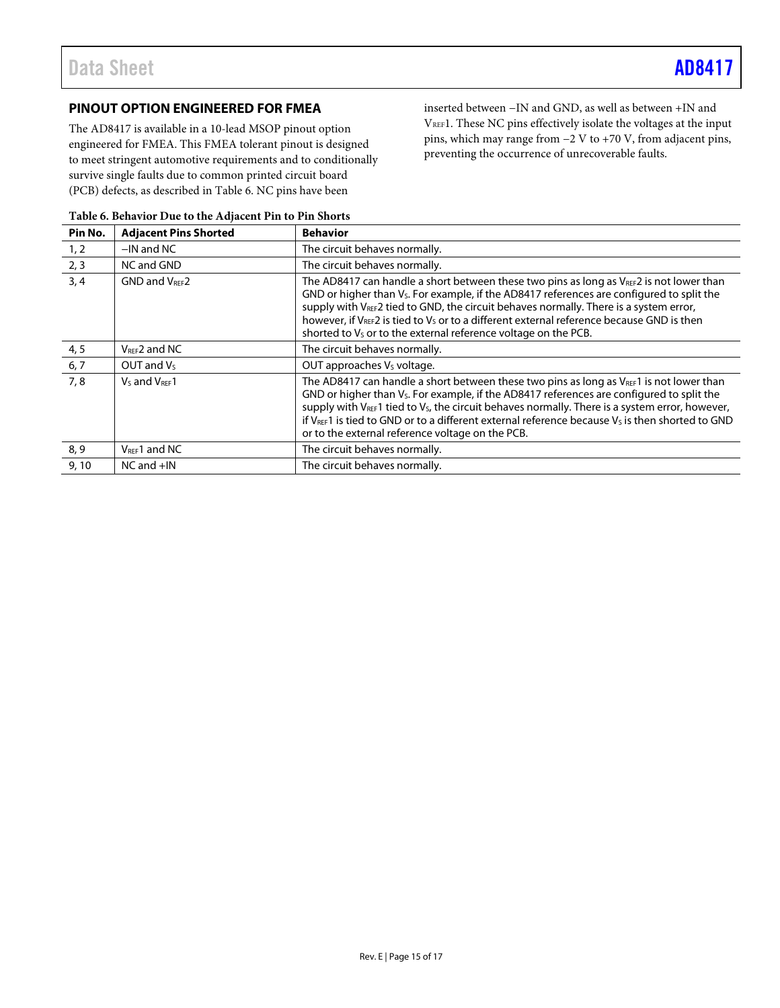### <span id="page-14-0"></span>**PINOUT OPTION ENGINEERED FOR FMEA**

The AD8417 is available in a 10-lead MSOP pinout option engineered for FMEA. This FMEA tolerant pinout is designed to meet stringent automotive requirements and to conditionally survive single faults due to common printed circuit board (PCB) defects, as described in [Table 6.](#page-14-1) NC pins have been

inserted between −IN and GND, as well as between +IN and VREF1. These NC pins effectively isolate the voltages at the input pins, which may range from −2 V to +70 V, from adjacent pins, preventing the occurrence of unrecoverable faults.

| Pin No. | <b>Adjacent Pins Shorted</b> | <b>Behavior</b>                                                                                                                                                                                                                                                                                                                                                                                                                                                                                |  |
|---------|------------------------------|------------------------------------------------------------------------------------------------------------------------------------------------------------------------------------------------------------------------------------------------------------------------------------------------------------------------------------------------------------------------------------------------------------------------------------------------------------------------------------------------|--|
| 1, 2    | $-$ IN and NC                | The circuit behaves normally.                                                                                                                                                                                                                                                                                                                                                                                                                                                                  |  |
| 2, 3    | NC and GND                   | The circuit behaves normally.                                                                                                                                                                                                                                                                                                                                                                                                                                                                  |  |
| 3, 4    | <b>GND and VREE2</b>         | The AD8417 can handle a short between these two pins as long as $V_{\text{REF}}$ is not lower than<br>GND or higher than $V_s$ . For example, if the AD8417 references are configured to split the<br>supply with V <sub>REF</sub> 2 tied to GND, the circuit behaves normally. There is a system error,<br>however, if VREF2 is tied to V <sub>s</sub> or to a different external reference because GND is then<br>shorted to V <sub>s</sub> or to the external reference voltage on the PCB. |  |
| 4, 5    | $V_{REF}$ 2 and NC           | The circuit behaves normally.                                                                                                                                                                                                                                                                                                                                                                                                                                                                  |  |
| 6, 7    | OUT and $V_5$                | OUT approaches V <sub>s</sub> voltage.                                                                                                                                                                                                                                                                                                                                                                                                                                                         |  |
| 7,8     | Vs and VREE 1                | The AD8417 can handle a short between these two pins as long as $V_{\text{REF}}$ is not lower than<br>GND or higher than $V_s$ . For example, if the AD8417 references are configured to split the<br>supply with $V_{\text{REF}}$ 1 tied to $V_{s}$ , the circuit behaves normally. There is a system error, however,<br>if $V_{\text{REF}}$ 1 is tied to GND or to a different external reference because $V_s$ is then shorted to GND<br>or to the external reference voltage on the PCB.   |  |
| 8, 9    | $V_{REF}1$ and NC            | The circuit behaves normally.                                                                                                                                                                                                                                                                                                                                                                                                                                                                  |  |
| 9.10    | $NC$ and $+IN$               | The circuit behaves normally.                                                                                                                                                                                                                                                                                                                                                                                                                                                                  |  |

### <span id="page-14-1"></span>**Table 6. Behavior Due to the Adjacent Pin to Pin Shorts**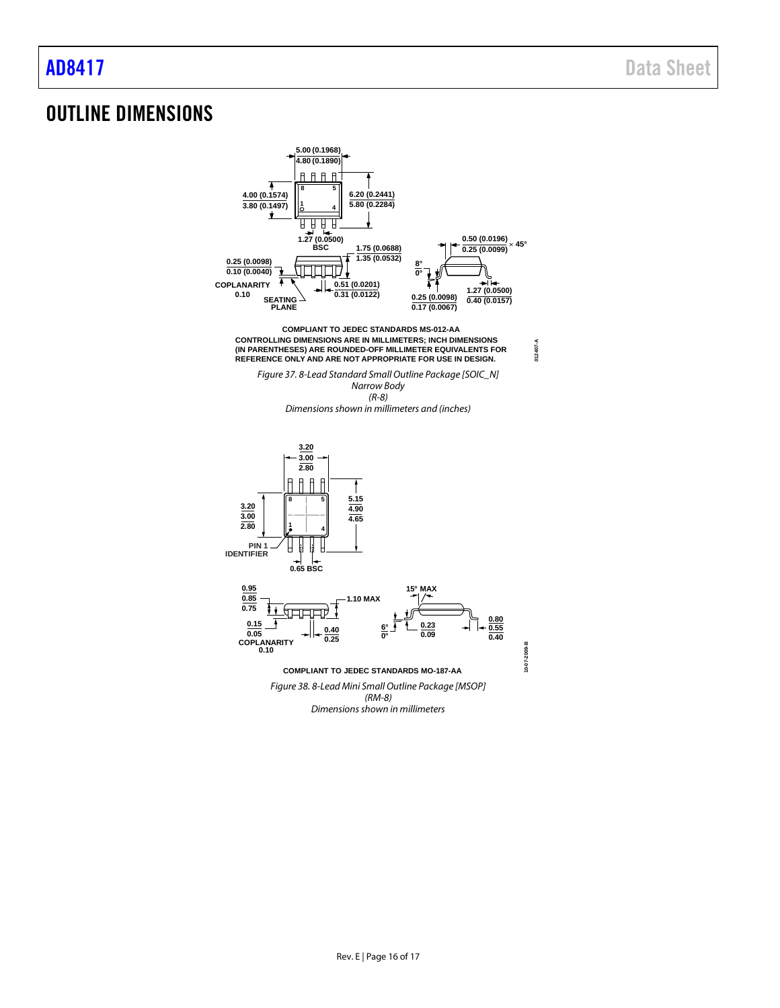## <span id="page-15-0"></span>OUTLINE DIMENSIONS